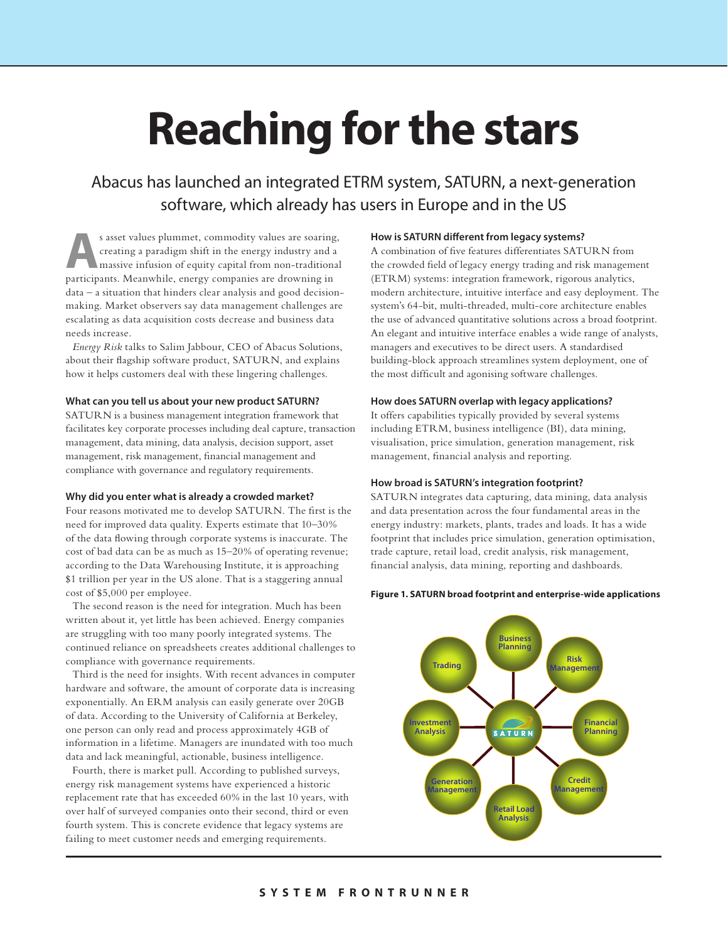# **Reaching for the stars**

# Abacus has launched an integrated ETRM system, SATURN, a next-generation software, which already has users in Europe and in the US

**A**s asset values plummet, commodity values are soaring, creating a paradigm shift in the energy industry and a massive infusion of equity capital from non-traditional matricipation. Meanwhile, appear commonies are describ creating a paradigm shift in the energy industry and a participants. Meanwhile, energy companies are drowning in data – a situation that hinders clear analysis and good decisionmaking. Market observers say data management challenges are escalating as data acquisition costs decrease and business data needs increase.

*Energy Risk* talks to Salim Jabbour, CEO of Abacus Solutions, about their flagship software product, SATURN, and explains how it helps customers deal with these lingering challenges.

#### **What can you tell us about your new product SATURN?**

SATURN is a business management integration framework that facilitates key corporate processes including deal capture, transaction management, data mining, data analysis, decision support, asset management, risk management, financial management and compliance with governance and regulatory requirements.

#### **Why did you enter what is already a crowded market?**

Four reasons motivated me to develop SATURN. The first is the need for improved data quality. Experts estimate that 10–30% of the data flowing through corporate systems is inaccurate. The cost of bad data can be as much as 15–20% of operating revenue; according to the Data Warehousing Institute, it is approaching \$1 trillion per year in the US alone. That is a staggering annual cost of \$5,000 per employee.

The second reason is the need for integration. Much has been written about it, yet little has been achieved. Energy companies are struggling with too many poorly integrated systems. The continued reliance on spreadsheets creates additional challenges to compliance with governance requirements.

Third is the need for insights. With recent advances in computer hardware and software, the amount of corporate data is increasing exponentially. An ERM analysis can easily generate over 20GB of data. According to the University of California at Berkeley, one person can only read and process approximately 4GB of information in a lifetime. Managers are inundated with too much data and lack meaningful, actionable, business intelligence.

Fourth, there is market pull. According to published surveys, energy risk management systems have experienced a historic replacement rate that has exceeded 60% in the last 10 years, with over half of surveyed companies onto their second, third or even fourth system. This is concrete evidence that legacy systems are failing to meet customer needs and emerging requirements.

# **How is SATURN different from legacy systems?**

A combination of five features differentiates SATURN from the crowded field of legacy energy trading and risk management (ETRM) systems: integration framework, rigorous analytics, modern architecture, intuitive interface and easy deployment. The system's 64-bit, multi-threaded, multi-core architecture enables the use of advanced quantitative solutions across a broad footprint. An elegant and intuitive interface enables a wide range of analysts, managers and executives to be direct users. A standardised building-block approach streamlines system deployment, one of the most difficult and agonising software challenges.

#### **How does SATURN overlap with legacy applications?**

It offers capabilities typically provided by several systems including ETRM, business intelligence (BI), data mining, visualisation, price simulation, generation management, risk management, financial analysis and reporting.

#### **How broad is SATURN's integration footprint?**

SATURN integrates data capturing, data mining, data analysis and data presentation across the four fundamental areas in the energy industry: markets, plants, trades and loads. It has a wide footprint that includes price simulation, generation optimisation, trade capture, retail load, credit analysis, risk management, financial analysis, data mining, reporting and dashboards.

#### **Figure 1. SATURN broad footprint and enterprise-wide applications**